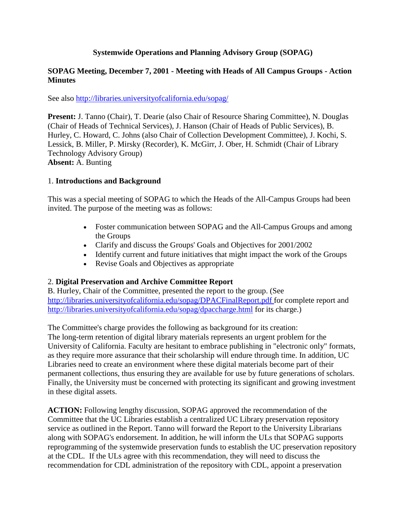## **Systemwide Operations and Planning Advisory Group (SOPAG)**

#### **SOPAG Meeting, December 7, 2001 - Meeting with Heads of All Campus Groups - Action Minutes**

See also http://libraries.universityofcalifornia.edu/sopag/

**Present:** J. Tanno (Chair), T. Dearie (also Chair of Resource Sharing Committee), N. Douglas (Chair of Heads of Technical Services), J. Hanson (Chair of Heads of Public Services), B. Hurley, C. Howard, C. Johns (also Chair of Collection Development Committee), J. Kochi, S. Lessick, B. Miller, P. Mirsky (Recorder), K. McGirr, J. Ober, H. Schmidt (Chair of Library Technology Advisory Group) **Absent:** A. Bunting

#### 1. **Introductions and Background**

This was a special meeting of SOPAG to which the Heads of the All-Campus Groups had been invited. The purpose of the meeting was as follows:

- Foster communication between SOPAG and the All-Campus Groups and among the Groups
- Clarify and discuss the Groups' Goals and Objectives for 2001/2002
- Identify current and future initiatives that might impact the work of the Groups
- Revise Goals and Objectives as appropriate

### 2. **Digital Preservation and Archive Committee Report**

B. Hurley, Chair of the Committee, presented the report to the group. (See [http://libraries.universityofcalifornia.edu/sopag/DPACFinalReport.pdf f](http://libraries.universityofcalifornia.edu/sopag/DPACFinalReport.pdf)or complete report and <http://libraries.universityofcalifornia.edu/sopag/dpaccharge.html> for its charge.)

The Committee's charge provides the following as background for its creation:

The long-term retention of digital library materials represents an urgent problem for the University of California. Faculty are hesitant to embrace publishing in "electronic only" formats, as they require more assurance that their scholarship will endure through time. In addition, UC Libraries need to create an environment where these digital materials become part of their permanent collections, thus ensuring they are available for use by future generations of scholars. Finally, the University must be concerned with protecting its significant and growing investment in these digital assets.

**ACTION:** Following lengthy discussion, SOPAG approved the recommendation of the Committee that the UC Libraries establish a centralized UC Library preservation repository service as outlined in the Report. Tanno will forward the Report to the University Librarians along with SOPAG's endorsement. In addition, he will inform the ULs that SOPAG supports reprogramming of the systemwide preservation funds to establish the UC preservation repository at the CDL. If the ULs agree with this recommendation, they will need to discuss the recommendation for CDL administration of the repository with CDL, appoint a preservation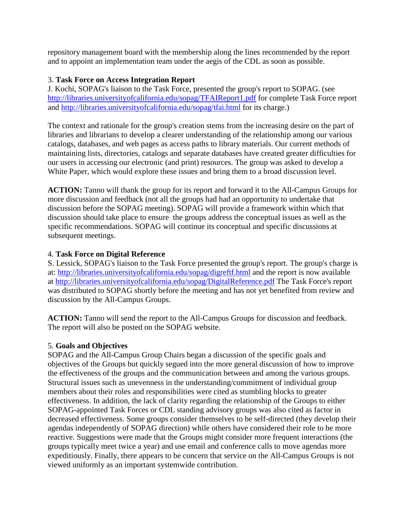repository management board with the membership along the lines recommended by the report and to appoint an implementation team under the aegis of the CDL as soon as possible.

# 3. **Task Force on Access Integration Report**

J. Kochi, SOPAG's liaison to the Task Force, presented the group's report to SOPAG. (see <http://libraries.universityofcalifornia.edu/sopag/TFAIReport1.pdf> for complete Task Force report and<http://libraries.universityofcalifornia.edu/sopag/tfai.html> for its charge.)

The context and rationale for the group's creation stems from the increasing desire on the part of libraries and librarians to develop a clearer understanding of the relationship among our various catalogs, databases, and web pages as access paths to library materials. Our current methods of maintaining lists, directories, catalogs and separate databases have created greater difficulties for our users in accessing our electronic (and print) resources. The group was asked to develop a White Paper, which would explore these issues and bring them to a broad discussion level.

**ACTION:** Tanno will thank the group for its report and forward it to the All-Campus Groups for more discussion and feedback (not all the groups had had an opportunity to undertake that discussion before the SOPAG meeting). SOPAG will provide a framework within which that discussion should take place to ensure the groups address the conceptual issues as well as the specific recommendations. SOPAG will continue its conceptual and specific discussions at subsequent meetings.

# 4. **Task Force on Digital Reference**

S. Lessick, SOPAG's liaison to the Task Force presented the group's report. The group's charge is at:<http://libraries.universityofcalifornia.edu/sopag/digreftf.html> and the report is now available at<http://libraries.universityofcalifornia.edu/sopag/DigitalReference.pdf> The Task Force's report was distributed to SOPAG shortly before the meeting and has not yet benefited from review and discussion by the All-Campus Groups.

**ACTION:** Tanno will send the report to the All-Campus Groups for discussion and feedback. The report will also be posted on the SOPAG website.

### 5. **Goals and Objectives**

SOPAG and the All-Campus Group Chairs began a discussion of the specific goals and objectives of the Groups but quickly segued into the more general discussion of how to improve the effectiveness of the groups and the communication between and among the various groups. Structural issues such as unevenness in the understanding/commitment of individual group members about their roles and responsibilities were cited as stumbling blocks to greater effectiveness. In addition, the lack of clarity regarding the relationship of the Groups to either SOPAG-appointed Task Forces or CDL standing advisory groups was also cited as factor in decreased effectiveness. Some groups consider themselves to be self-directed (they develop their agendas independently of SOPAG direction) while others have considered their role to be more reactive. Suggestions were made that the Groups might consider more frequent interactions (the groups typically meet twice a year) and use email and conference calls to move agendas more expeditiously. Finally, there appears to be concern that service on the All-Campus Groups is not viewed uniformly as an important systemwide contribution.